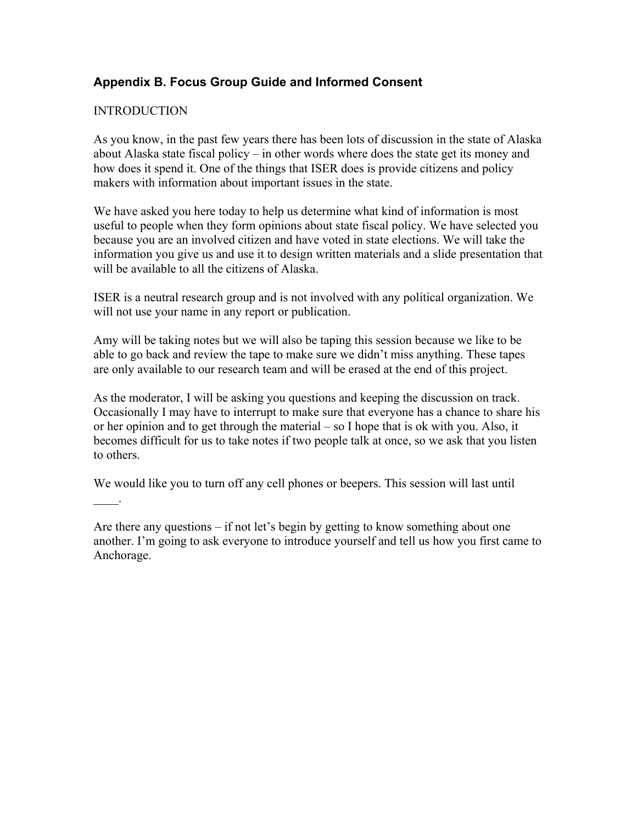# **Appendix B. Focus Group Guide and Informed Consent**

#### **INTRODUCTION**

 $\mathbb{Z}^{\mathbb{Z}}$ 

As you know, in the past few years there has been lots of discussion in the state of Alaska about Alaska state fiscal policy – in other words where does the state get its money and how does it spend it. One of the things that ISER does is provide citizens and policy makers with information about important issues in the state.

We have asked you here today to help us determine what kind of information is most useful to people when they form opinions about state fiscal policy. We have selected you because you are an involved citizen and have voted in state elections. We will take the information you give us and use it to design written materials and a slide presentation that will be available to all the citizens of Alaska.

ISER is a neutral research group and is not involved with any political organization. We will not use your name in any report or publication.

Amy will be taking notes but we will also be taping this session because we like to be able to go back and review the tape to make sure we didn't miss anything. These tapes are only available to our research team and will be erased at the end of this project.

As the moderator, I will be asking you questions and keeping the discussion on track. Occasionally I may have to interrupt to make sure that everyone has a chance to share his or her opinion and to get through the material – so I hope that is ok with you. Also, it becomes difficult for us to take notes if two people talk at once, so we ask that you listen to others.

We would like you to turn off any cell phones or beepers. This session will last until

Are there any questions – if not let's begin by getting to know something about one another. I'm going to ask everyone to introduce yourself and tell us how you first came to Anchorage.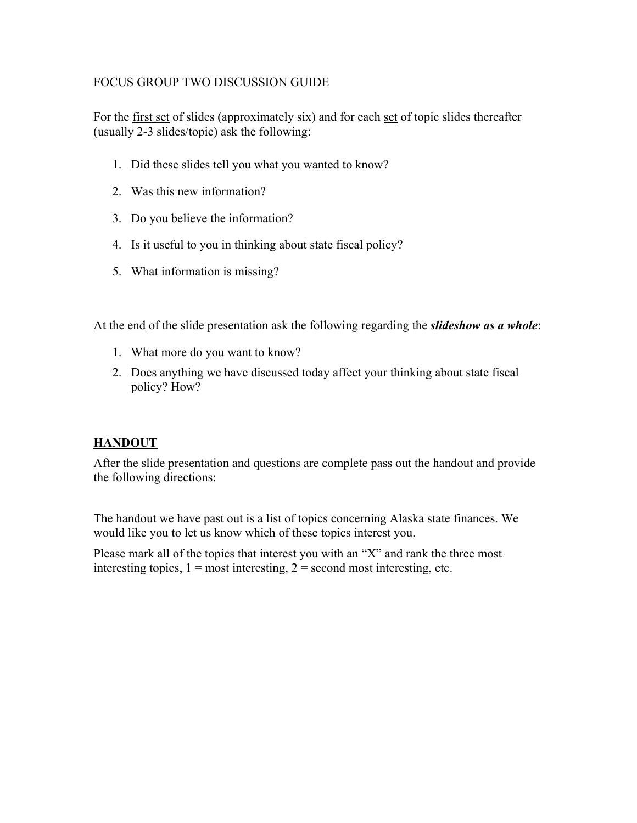#### FOCUS GROUP TWO DISCUSSION GUIDE

For the <u>first set</u> of slides (approximately six) and for each set of topic slides thereafter (usually 2-3 slides/topic) ask the following:

- 1. Did these slides tell you what you wanted to know?
- 2. Was this new information?
- 3. Do you believe the information?
- 4. Is it useful to you in thinking about state fiscal policy?
- 5. What information is missing?

At the end of the slide presentation ask the following regarding the *slideshow as a whole*:

- 1. What more do you want to know?
- 2. Does anything we have discussed today affect your thinking about state fiscal policy? How?

# **HANDOUT**

After the slide presentation and questions are complete pass out the handout and provide the following directions:

The handout we have past out is a list of topics concerning Alaska state finances. We would like you to let us know which of these topics interest you.

Please mark all of the topics that interest you with an "X" and rank the three most interesting topics,  $1 = \text{most interesting}, 2 = \text{second most interesting},$  etc.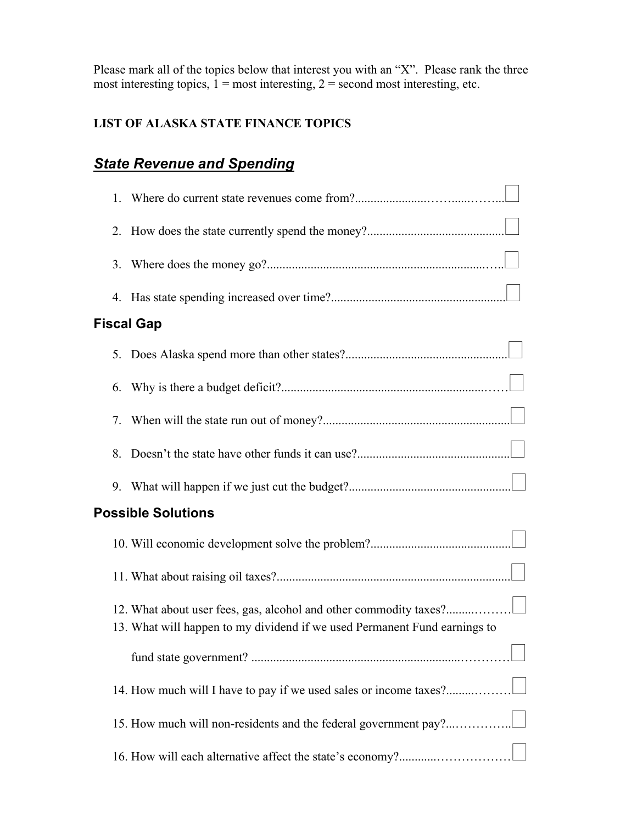Please mark all of the topics below that interest you with an "X". Please rank the three most interesting topics,  $1 = \text{most interesting}, 2 = \text{second most interesting}, \text{etc.}$ 

# **LIST OF ALASKA STATE FINANCE TOPICS**

# *State Revenue and Spending*

| 1.                        |                                                                                                                                                |
|---------------------------|------------------------------------------------------------------------------------------------------------------------------------------------|
| 2.                        |                                                                                                                                                |
| 3.                        |                                                                                                                                                |
| 4.                        |                                                                                                                                                |
| <b>Fiscal Gap</b>         |                                                                                                                                                |
| 5.                        |                                                                                                                                                |
| 6.                        |                                                                                                                                                |
| 7.                        |                                                                                                                                                |
| 8.                        |                                                                                                                                                |
|                           |                                                                                                                                                |
| <b>Possible Solutions</b> |                                                                                                                                                |
|                           |                                                                                                                                                |
|                           |                                                                                                                                                |
|                           | 12. What about user fees, gas, alcohol and other commodity taxes?<br>13. What will happen to my dividend if we used Permanent Fund earnings to |
|                           |                                                                                                                                                |
|                           | 14. How much will I have to pay if we used sales or income taxes?                                                                              |
|                           | 15. How much will non-residents and the federal government pay?                                                                                |
|                           |                                                                                                                                                |